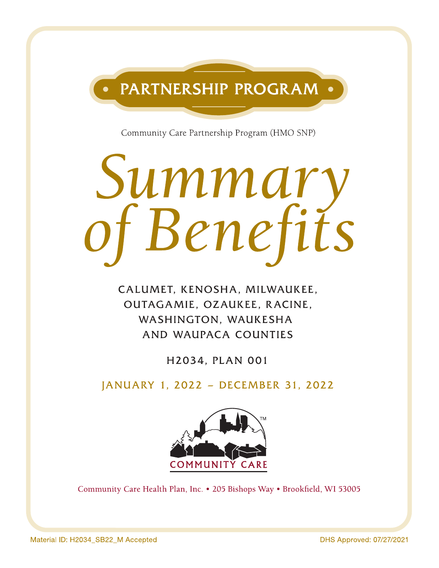

Community Care Partnership Program (HMO SNP)

# Summary<br>of Benefits

CALUMET, KENOSHA, MILWAUKEE, OUTAGAMIE, OZAUKEE, RACINE, WASHINGTON, WAUKESHA AND WAUPACA COUNTIES

H2034, PLAN 001

JANUARY 1, 2022 - DECEMBER 31, 2022



Community Care Health Plan, Inc. • 205 Bishops Way • Brookfield, WI 53005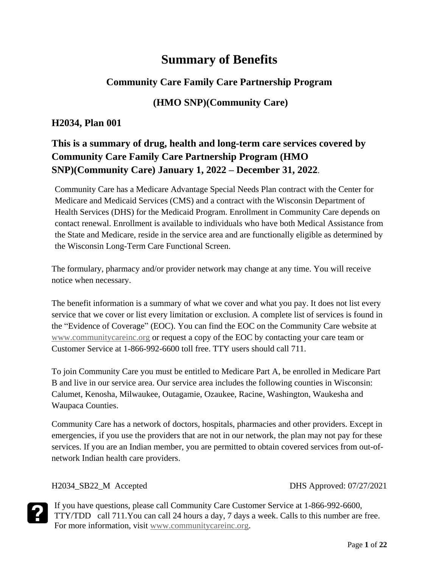# **Summary of Benefits**

#### **Community Care Family Care Partnership Program**

#### **(HMO SNP)(Community Care)**

#### **H2034, Plan 001**

# **This is a summary of drug, health and long-term care services covered by Community Care Family Care Partnership Program (HMO SNP)(Community Care) January 1, 2022 – December 31, 2022**.

Community Care has a Medicare Advantage Special Needs Plan contract with the Center for Medicare and Medicaid Services (CMS) and a contract with the Wisconsin Department of Health Services (DHS) for the Medicaid Program. Enrollment in Community Care depends on contact renewal. Enrollment is available to individuals who have both Medical Assistance from the State and Medicare, reside in the service area and are functionally eligible as determined by the Wisconsin Long-Term Care Functional Screen.

The formulary, pharmacy and/or provider network may change at any time. You will receive notice when necessary.

The benefit information is a summary of what we cover and what you pay. It does not list every service that we cover or list every limitation or exclusion. A complete list of services is found in the "Evidence of Coverage" (EOC). You can find the EOC on the Community Care website at [www.communitycareinc.org](http://www.communitycareinc.org/) or request a copy of the EOC by contacting your care team or Customer Service at 1-866-992-6600 toll free. TTY users should call 711.

To join Community Care you must be entitled to Medicare Part A, be enrolled in Medicare Part B and live in our service area. Our service area includes the following counties in Wisconsin: Calumet, Kenosha, Milwaukee, Outagamie, Ozaukee, Racine, Washington, Waukesha and Waupaca Counties.

Community Care has a network of doctors, hospitals, pharmacies and other providers. Except in emergencies, if you use the providers that are not in our network, the plan may not pay for these services. If you are an Indian member, you are permitted to obtain covered services from out-ofnetwork Indian health care providers.

H2034\_SB22\_M Accepted DHS Approved: 07/27/2021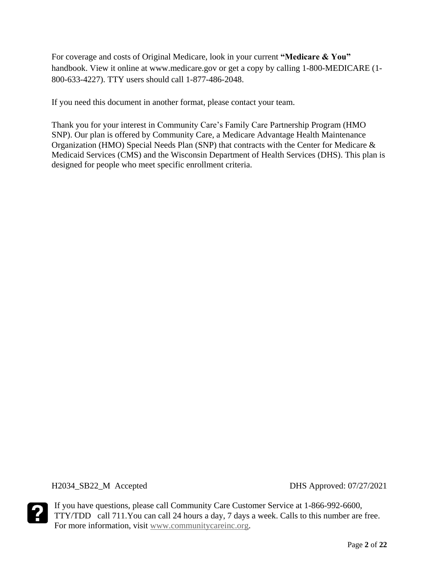For coverage and costs of Original Medicare, look in your current **"Medicare & You"**  handbook. View it online at www.medicare.gov or get a copy by calling 1-800-MEDICARE (1- 800-633-4227). TTY users should call 1-877-486-2048.

If you need this document in another format, please contact your team.

Thank you for your interest in Community Care's Family Care Partnership Program (HMO SNP). Our plan is offered by Community Care, a Medicare Advantage Health Maintenance Organization (HMO) Special Needs Plan (SNP) that contracts with the Center for Medicare & Medicaid Services (CMS) and the Wisconsin Department of Health Services (DHS). This plan is designed for people who meet specific enrollment criteria.

H2034\_SB22\_M Accepted DHS Approved: 07/27/2021

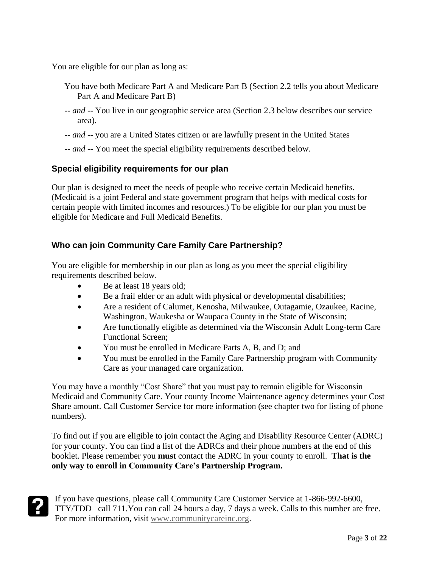You are eligible for our plan as long as:

- You have both Medicare Part A and Medicare Part B (Section 2.2 tells you about Medicare Part A and Medicare Part B)
- *-- and --* You live in our geographic service area (Section 2.3 below describes our service area).
- -- *and* -- you are a United States citizen or are lawfully present in the United States
- *-- and --* You meet the special eligibility requirements described below.

#### **Special eligibility requirements for our plan**

Our plan is designed to meet the needs of people who receive certain Medicaid benefits. (Medicaid is a joint Federal and state government program that helps with medical costs for certain people with limited incomes and resources.) To be eligible for our plan you must be eligible for Medicare and Full Medicaid Benefits.

#### **Who can join Community Care Family Care Partnership?**

You are eligible for membership in our plan as long as you meet the special eligibility requirements described below.

- Be at least 18 years old;
- Be a frail elder or an adult with physical or developmental disabilities;
- Are a resident of Calumet, Kenosha, Milwaukee, Outagamie, Ozaukee, Racine, Washington, Waukesha or Waupaca County in the State of Wisconsin;
- Are functionally eligible as determined via the Wisconsin Adult Long-term Care Functional Screen;
- You must be enrolled in Medicare Parts A, B, and D; and
- You must be enrolled in the Family Care Partnership program with Community Care as your managed care organization.

You may have a monthly "Cost Share" that you must pay to remain eligible for Wisconsin Medicaid and Community Care. Your county Income Maintenance agency determines your Cost Share amount. Call Customer Service for more information (see chapter two for listing of phone numbers).

To find out if you are eligible to join contact the Aging and Disability Resource Center (ADRC) for your county. You can find a list of the ADRCs and their phone numbers at the end of this booklet. Please remember you **must** contact the ADRC in your county to enroll. **That is the only way to enroll in Community Care's Partnership Program.**

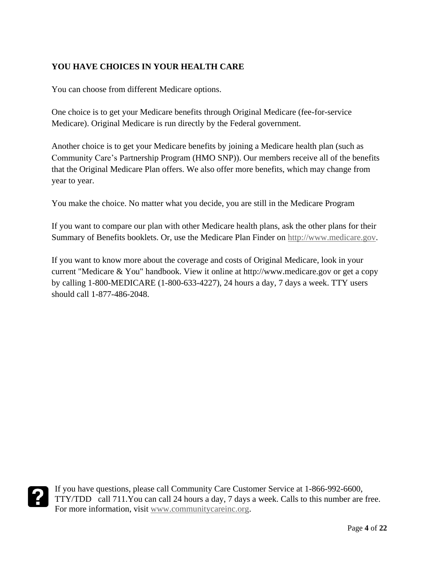#### **YOU HAVE CHOICES IN YOUR HEALTH CARE**

You can choose from different Medicare options.

One choice is to get your Medicare benefits through Original Medicare (fee-for-service Medicare). Original Medicare is run directly by the Federal government.

Another choice is to get your Medicare benefits by joining a Medicare health plan (such as Community Care's Partnership Program (HMO SNP)). Our members receive all of the benefits that the Original Medicare Plan offers. We also offer more benefits, which may change from year to year.

You make the choice. No matter what you decide, you are still in the Medicare Program

If you want to compare our plan with other Medicare health plans, ask the other plans for their Summary of Benefits booklets. Or, use the Medicare Plan Finder on [http://www.medicare.gov.](http://www.medicare.gov/)

If you want to know more about the coverage and costs of Original Medicare, look in your current "Medicare & You" handbook. View it online at http://www.medicare.gov or get a copy by calling 1-800-MEDICARE (1-800-633-4227), 24 hours a day, 7 days a week. TTY users should call 1-877-486-2048.

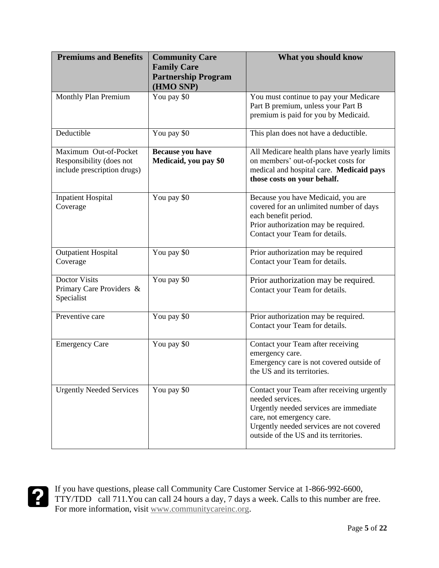| <b>Premiums and Benefits</b>                                                     | <b>Community Care</b><br><b>Family Care</b><br><b>Partnership Program</b><br>(HMO SNP) | What you should know                                                                                                                                                                                                        |
|----------------------------------------------------------------------------------|----------------------------------------------------------------------------------------|-----------------------------------------------------------------------------------------------------------------------------------------------------------------------------------------------------------------------------|
| Monthly Plan Premium                                                             | You pay \$0                                                                            | You must continue to pay your Medicare<br>Part B premium, unless your Part B<br>premium is paid for you by Medicaid.                                                                                                        |
| Deductible                                                                       | You pay \$0                                                                            | This plan does not have a deductible.                                                                                                                                                                                       |
| Maximum Out-of-Pocket<br>Responsibility (does not<br>include prescription drugs) | Because you have<br>Medicaid, you pay \$0                                              | All Medicare health plans have yearly limits<br>on members' out-of-pocket costs for<br>medical and hospital care. Medicaid pays<br>those costs on your behalf.                                                              |
| <b>Inpatient Hospital</b><br>Coverage                                            | You pay \$0                                                                            | Because you have Medicaid, you are<br>covered for an unlimited number of days<br>each benefit period.<br>Prior authorization may be required.<br>Contact your Team for details.                                             |
| <b>Outpatient Hospital</b><br>Coverage                                           | You pay \$0                                                                            | Prior authorization may be required<br>Contact your Team for details.                                                                                                                                                       |
| <b>Doctor Visits</b><br>Primary Care Providers &<br>Specialist                   | You pay \$0                                                                            | Prior authorization may be required.<br>Contact your Team for details.                                                                                                                                                      |
| Preventive care                                                                  | You pay \$0                                                                            | Prior authorization may be required.<br>Contact your Team for details.                                                                                                                                                      |
| <b>Emergency Care</b>                                                            | You pay \$0                                                                            | Contact your Team after receiving<br>emergency care.<br>Emergency care is not covered outside of<br>the US and its territories.                                                                                             |
| <b>Urgently Needed Services</b>                                                  | You pay \$0                                                                            | Contact your Team after receiving urgently<br>needed services.<br>Urgently needed services are immediate<br>care, not emergency care.<br>Urgently needed services are not covered<br>outside of the US and its territories. |

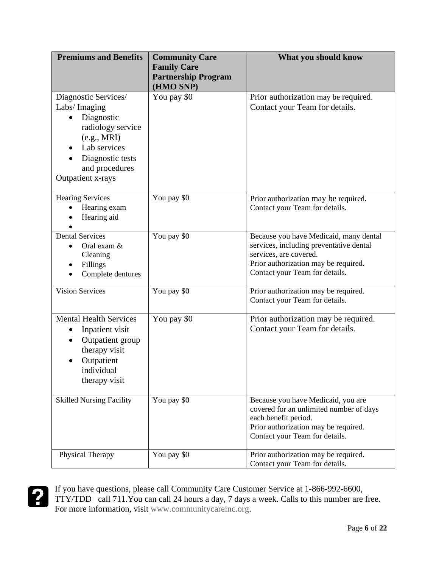| <b>Premiums and Benefits</b>                                                                                                                                                   | <b>Community Care</b><br><b>Family Care</b><br><b>Partnership Program</b><br>(HMO SNP) | What you should know                                                                                                                                                                  |
|--------------------------------------------------------------------------------------------------------------------------------------------------------------------------------|----------------------------------------------------------------------------------------|---------------------------------------------------------------------------------------------------------------------------------------------------------------------------------------|
| Diagnostic Services/<br>Labs/Imaging<br>Diagnostic<br>$\bullet$<br>radiology service<br>(e.g., MRI)<br>Lab services<br>Diagnostic tests<br>and procedures<br>Outpatient x-rays | You pay \$0                                                                            | Prior authorization may be required.<br>Contact your Team for details.                                                                                                                |
| <b>Hearing Services</b><br>Hearing exam<br>Hearing aid                                                                                                                         | You pay \$0                                                                            | Prior authorization may be required.<br>Contact your Team for details.                                                                                                                |
| <b>Dental Services</b><br>Oral exam &<br>Cleaning<br>Fillings<br>$\bullet$<br>Complete dentures                                                                                | You pay \$0                                                                            | Because you have Medicaid, many dental<br>services, including preventative dental<br>services, are covered.<br>Prior authorization may be required.<br>Contact your Team for details. |
| <b>Vision Services</b>                                                                                                                                                         | You pay \$0                                                                            | Prior authorization may be required.<br>Contact your Team for details.                                                                                                                |
| <b>Mental Health Services</b><br>Inpatient visit<br>Outpatient group<br>therapy visit<br>Outpatient<br>individual<br>therapy visit                                             | You pay \$0                                                                            | Prior authorization may be required.<br>Contact your Team for details.                                                                                                                |
| <b>Skilled Nursing Facility</b>                                                                                                                                                | You pay \$0                                                                            | Because you have Medicaid, you are<br>covered for an unlimited number of days<br>each benefit period.<br>Prior authorization may be required.<br>Contact your Team for details.       |
| Physical Therapy                                                                                                                                                               | You pay \$0                                                                            | Prior authorization may be required.<br>Contact your Team for details.                                                                                                                |

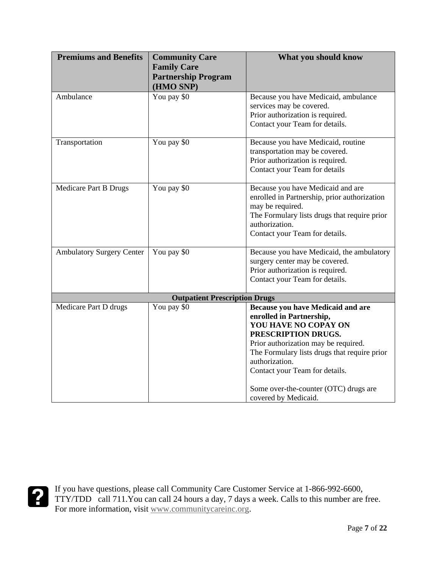| <b>Premiums and Benefits</b>     | <b>Community Care</b>                | What you should know                         |
|----------------------------------|--------------------------------------|----------------------------------------------|
|                                  | <b>Family Care</b>                   |                                              |
|                                  | <b>Partnership Program</b>           |                                              |
|                                  | (HMO SNP)                            |                                              |
| Ambulance                        | You pay \$0                          | Because you have Medicaid, ambulance         |
|                                  |                                      | services may be covered.                     |
|                                  |                                      | Prior authorization is required.             |
|                                  |                                      | Contact your Team for details.               |
| Transportation                   | You pay \$0                          | Because you have Medicaid, routine           |
|                                  |                                      | transportation may be covered.               |
|                                  |                                      | Prior authorization is required.             |
|                                  |                                      | Contact your Team for details                |
| Medicare Part B Drugs            | You pay \$0                          | Because you have Medicaid and are            |
|                                  |                                      | enrolled in Partnership, prior authorization |
|                                  |                                      | may be required.                             |
|                                  |                                      | The Formulary lists drugs that require prior |
|                                  |                                      | authorization.                               |
|                                  |                                      | Contact your Team for details.               |
| <b>Ambulatory Surgery Center</b> | You pay \$0                          | Because you have Medicaid, the ambulatory    |
|                                  |                                      | surgery center may be covered.               |
|                                  |                                      | Prior authorization is required.             |
|                                  |                                      | Contact your Team for details.               |
|                                  | <b>Outpatient Prescription Drugs</b> |                                              |
| Medicare Part D drugs            | You pay \$0                          | Because you have Medicaid and are            |
|                                  |                                      | enrolled in Partnership,                     |
|                                  |                                      | YOU HAVE NO COPAY ON                         |
|                                  |                                      | PRESCRIPTION DRUGS.                          |
|                                  |                                      | Prior authorization may be required.         |
|                                  |                                      | The Formulary lists drugs that require prior |
|                                  |                                      | authorization.                               |
|                                  |                                      | Contact your Team for details.               |
|                                  |                                      | Some over-the-counter (OTC) drugs are        |
|                                  |                                      | covered by Medicaid.                         |

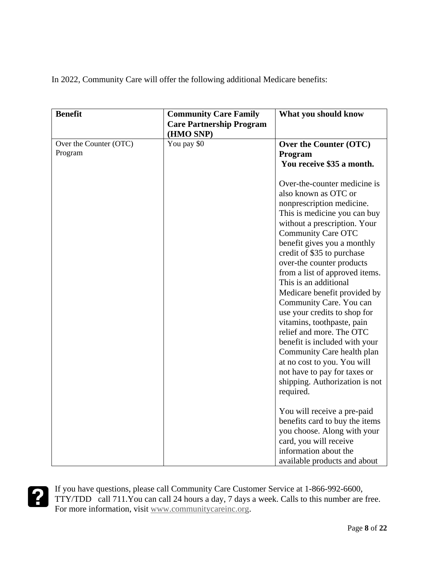In 2022, Community Care will offer the following additional Medicare benefits:

| <b>Benefit</b>                    | <b>Community Care Family</b><br><b>Care Partnership Program</b><br>(HMO SNP) | What you should know                                                                                                                                                                                                                                                                                                                                                                                                                                                                                                                                                                                                                                                  |
|-----------------------------------|------------------------------------------------------------------------------|-----------------------------------------------------------------------------------------------------------------------------------------------------------------------------------------------------------------------------------------------------------------------------------------------------------------------------------------------------------------------------------------------------------------------------------------------------------------------------------------------------------------------------------------------------------------------------------------------------------------------------------------------------------------------|
| Over the Counter (OTC)<br>Program | You pay \$0                                                                  | Over the Counter (OTC)<br>Program<br>You receive \$35 a month.                                                                                                                                                                                                                                                                                                                                                                                                                                                                                                                                                                                                        |
|                                   |                                                                              | Over-the-counter medicine is<br>also known as OTC or<br>nonprescription medicine.<br>This is medicine you can buy<br>without a prescription. Your<br><b>Community Care OTC</b><br>benefit gives you a monthly<br>credit of \$35 to purchase<br>over-the counter products<br>from a list of approved items.<br>This is an additional<br>Medicare benefit provided by<br>Community Care. You can<br>use your credits to shop for<br>vitamins, toothpaste, pain<br>relief and more. The OTC<br>benefit is included with your<br>Community Care health plan<br>at no cost to you. You will<br>not have to pay for taxes or<br>shipping. Authorization is not<br>required. |
|                                   |                                                                              | You will receive a pre-paid<br>benefits card to buy the items<br>you choose. Along with your<br>card, you will receive<br>information about the<br>available products and about                                                                                                                                                                                                                                                                                                                                                                                                                                                                                       |

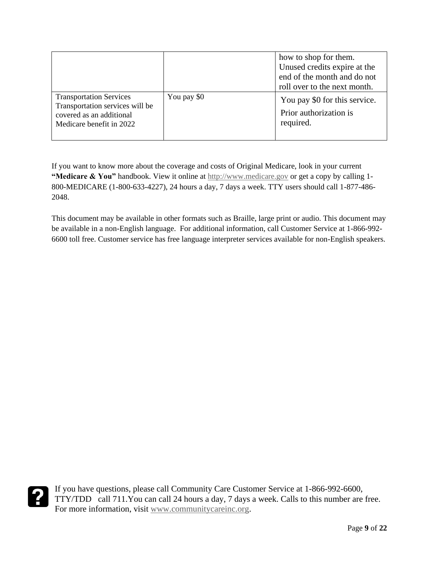|                                                                                                                           |             | how to shop for them.<br>Unused credits expire at the<br>end of the month and do not<br>roll over to the next month. |
|---------------------------------------------------------------------------------------------------------------------------|-------------|----------------------------------------------------------------------------------------------------------------------|
| <b>Transportation Services</b><br>Transportation services will be<br>covered as an additional<br>Medicare benefit in 2022 | You pay \$0 | You pay \$0 for this service.<br>Prior authorization is<br>required.                                                 |

If you want to know more about the coverage and costs of Original Medicare, look in your current **"Medicare & You"** handbook. View it online at [http://www.medicare.gov](http://www.medicare.gov/) or get a copy by calling 1- 800-MEDICARE (1-800-633-4227), 24 hours a day, 7 days a week. TTY users should call 1-877-486- 2048.

This document may be available in other formats such as Braille, large print or audio. This document may be available in a non-English language. For additional information, call Customer Service at 1-866-992- 6600 toll free. Customer service has free language interpreter services available for non-English speakers.

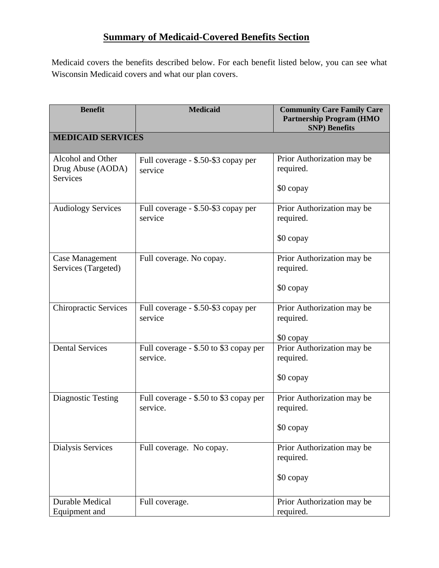# **Summary of Medicaid-Covered Benefits Section**

Medicaid covers the benefits described below. For each benefit listed below, you can see what Wisconsin Medicaid covers and what our plan covers.

| <b>Benefit</b>                                            | <b>Medicaid</b>                                    | <b>Community Care Family Care</b><br><b>Partnership Program (HMO)</b><br><b>SNP)</b> Benefits |
|-----------------------------------------------------------|----------------------------------------------------|-----------------------------------------------------------------------------------------------|
| <b>MEDICAID SERVICES</b>                                  |                                                    |                                                                                               |
| Alcohol and Other<br>Drug Abuse (AODA)<br><b>Services</b> | Full coverage - \$.50-\$3 copay per<br>service     | Prior Authorization may be<br>required.<br>\$0 copay                                          |
| <b>Audiology Services</b>                                 | Full coverage - \$.50-\$3 copay per<br>service     | Prior Authorization may be<br>required.<br>\$0 copay                                          |
| <b>Case Management</b><br>Services (Targeted)             | Full coverage. No copay.                           | Prior Authorization may be<br>required.<br>\$0 copay                                          |
| <b>Chiropractic Services</b>                              | Full coverage - \$.50-\$3 copay per<br>service     | Prior Authorization may be<br>required.<br>\$0 copay                                          |
| <b>Dental Services</b>                                    | Full coverage - \$.50 to \$3 copay per<br>service. | Prior Authorization may be<br>required.<br>\$0 copay                                          |
| <b>Diagnostic Testing</b>                                 | Full coverage - \$.50 to \$3 copay per<br>service. | Prior Authorization may be<br>required.<br>\$0 copay                                          |
| Dialysis Services                                         | Full coverage. No copay.                           | Prior Authorization may be<br>required.<br>\$0 copay                                          |
| <b>Durable Medical</b><br>Equipment and                   | Full coverage.                                     | Prior Authorization may be<br>required.                                                       |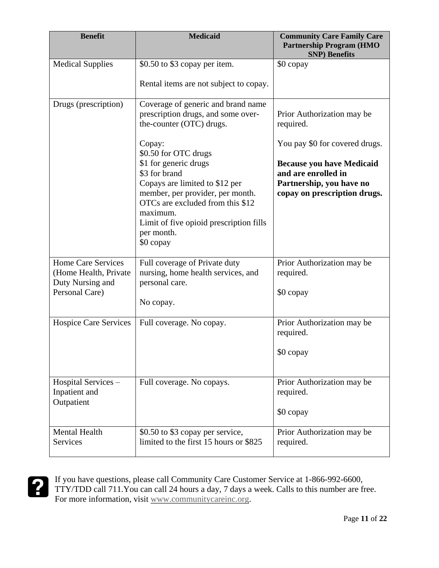| <b>Benefit</b>                                                                    | <b>Medicaid</b>                                                                                                                                                                                                                                                                                                                                                              | <b>Community Care Family Care</b><br><b>Partnership Program (HMO</b><br><b>SNP)</b> Benefits                                                                                                     |
|-----------------------------------------------------------------------------------|------------------------------------------------------------------------------------------------------------------------------------------------------------------------------------------------------------------------------------------------------------------------------------------------------------------------------------------------------------------------------|--------------------------------------------------------------------------------------------------------------------------------------------------------------------------------------------------|
| <b>Medical Supplies</b>                                                           | \$0.50 to \$3 copay per item.<br>Rental items are not subject to copay.                                                                                                                                                                                                                                                                                                      | \$0 copay                                                                                                                                                                                        |
| Drugs (prescription)                                                              | Coverage of generic and brand name<br>prescription drugs, and some over-<br>the-counter (OTC) drugs.<br>Copay:<br>\$0.50 for OTC drugs<br>\$1 for generic drugs<br>\$3 for brand<br>Copays are limited to \$12 per<br>member, per provider, per month.<br>OTCs are excluded from this \$12<br>maximum.<br>Limit of five opioid prescription fills<br>per month.<br>\$0 copay | Prior Authorization may be<br>required.<br>You pay \$0 for covered drugs.<br><b>Because you have Medicaid</b><br>and are enrolled in<br>Partnership, you have no<br>copay on prescription drugs. |
| Home Care Services<br>(Home Health, Private<br>Duty Nursing and<br>Personal Care) | Full coverage of Private duty<br>nursing, home health services, and<br>personal care.<br>No copay.                                                                                                                                                                                                                                                                           | Prior Authorization may be<br>required.<br>\$0 copay                                                                                                                                             |
| <b>Hospice Care Services</b>                                                      | Full coverage. No copay.                                                                                                                                                                                                                                                                                                                                                     | Prior Authorization may be<br>required.<br>\$0 copay                                                                                                                                             |
| Hospital Services -<br>Inpatient and<br>Outpatient                                | Full coverage. No copays.                                                                                                                                                                                                                                                                                                                                                    | Prior Authorization may be<br>required.<br>\$0 copay                                                                                                                                             |
| <b>Mental Health</b><br><b>Services</b>                                           | \$0.50 to \$3 copay per service,<br>limited to the first 15 hours or \$825                                                                                                                                                                                                                                                                                                   | Prior Authorization may be<br>required.                                                                                                                                                          |

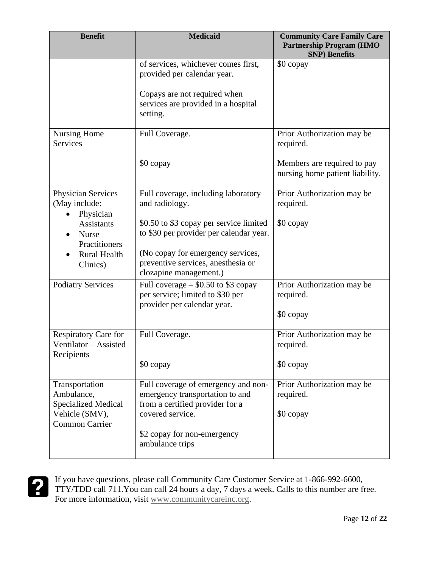| <b>Benefit</b>                                              | <b>Medicaid</b>                                                                                           | <b>Community Care Family Care</b><br><b>Partnership Program (HMO)</b><br><b>SNP)</b> Benefits |
|-------------------------------------------------------------|-----------------------------------------------------------------------------------------------------------|-----------------------------------------------------------------------------------------------|
|                                                             | of services, whichever comes first,<br>provided per calendar year.                                        | \$0 copay                                                                                     |
|                                                             | Copays are not required when<br>services are provided in a hospital<br>setting.                           |                                                                                               |
| <b>Nursing Home</b><br><b>Services</b>                      | Full Coverage.                                                                                            | Prior Authorization may be<br>required.                                                       |
|                                                             | \$0 copay                                                                                                 | Members are required to pay<br>nursing home patient liability.                                |
| Physician Services<br>(May include:<br>Physician            | Full coverage, including laboratory<br>and radiology.                                                     | Prior Authorization may be<br>required.                                                       |
| <b>Assistants</b><br>Nurse<br>Practitioners                 | \$0.50 to \$3 copay per service limited<br>to \$30 per provider per calendar year.                        | \$0 copay                                                                                     |
| <b>Rural Health</b><br>Clinics)                             | (No copay for emergency services,<br>preventive services, anesthesia or<br>clozapine management.)         |                                                                                               |
| <b>Podiatry Services</b>                                    | Full coverage $-$ \$0.50 to \$3 copay<br>per service; limited to \$30 per<br>provider per calendar year.  | Prior Authorization may be<br>required.                                                       |
|                                                             |                                                                                                           | \$0 copay                                                                                     |
| Respiratory Care for<br>Ventilator - Assisted<br>Recipients | Full Coverage.                                                                                            | Prior Authorization may be<br>required.                                                       |
|                                                             | \$0 copay                                                                                                 | \$0 copay                                                                                     |
| Transportation-<br>Ambulance,<br><b>Specialized Medical</b> | Full coverage of emergency and non-<br>emergency transportation to and<br>from a certified provider for a | Prior Authorization may be<br>required.                                                       |
| Vehicle (SMV),<br><b>Common Carrier</b>                     | covered service.                                                                                          | \$0 copay                                                                                     |
|                                                             | \$2 copay for non-emergency<br>ambulance trips                                                            |                                                                                               |

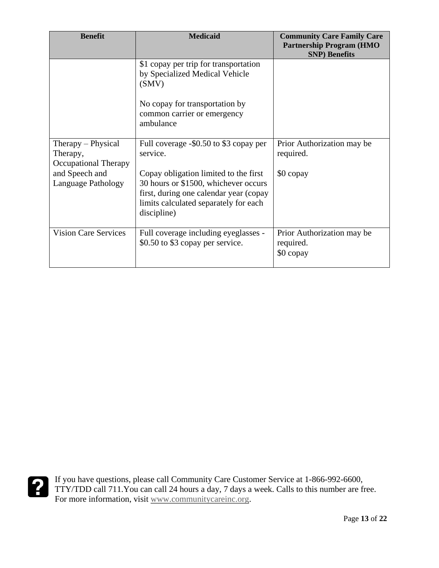| <b>Benefit</b>                                                | <b>Medicaid</b>                                                                                                                                                                 | <b>Community Care Family Care</b><br><b>Partnership Program (HMO)</b><br><b>SNP)</b> Benefits |
|---------------------------------------------------------------|---------------------------------------------------------------------------------------------------------------------------------------------------------------------------------|-----------------------------------------------------------------------------------------------|
|                                                               | \$1 copay per trip for transportation<br>by Specialized Medical Vehicle<br>(SMV)                                                                                                |                                                                                               |
|                                                               | No copay for transportation by<br>common carrier or emergency<br>ambulance                                                                                                      |                                                                                               |
| Therapy – Physical<br>Therapy,<br><b>Occupational Therapy</b> | Full coverage -\$0.50 to \$3 copay per<br>service.                                                                                                                              | Prior Authorization may be<br>required.                                                       |
| and Speech and<br><b>Language Pathology</b>                   | Copay obligation limited to the first<br>30 hours or \$1500, whichever occurs<br>first, during one calendar year (copay<br>limits calculated separately for each<br>discipline) | \$0 copay                                                                                     |
| <b>Vision Care Services</b>                                   | Full coverage including eyeglasses -<br>\$0.50 to \$3 copay per service.                                                                                                        | Prior Authorization may be<br>required.<br>\$0 copay                                          |

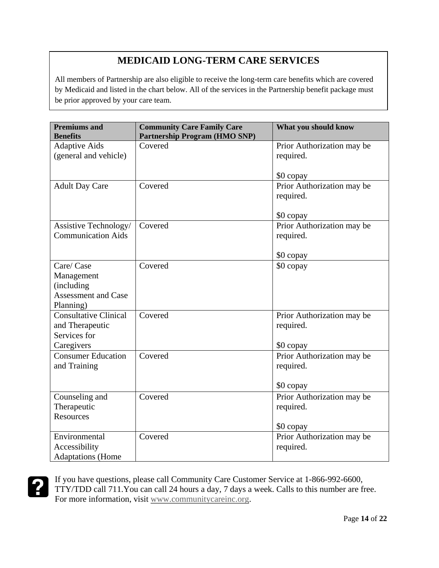# **MEDICAID LONG-TERM CARE SERVICES**

All members of Partnership are also eligible to receive the long-term care benefits which are covered by Medicaid and listed in the chart below. All of the services in the Partnership benefit package must be prior approved by your care team.

| <b>Premiums and</b><br><b>Benefits</b>                                            | <b>Community Care Family Care</b><br><b>Partnership Program (HMO SNP)</b> | What you should know                                 |
|-----------------------------------------------------------------------------------|---------------------------------------------------------------------------|------------------------------------------------------|
| <b>Adaptive Aids</b>                                                              | Covered                                                                   | Prior Authorization may be                           |
| (general and vehicle)                                                             |                                                                           | required.                                            |
|                                                                                   |                                                                           | \$0 copay                                            |
| <b>Adult Day Care</b>                                                             | Covered                                                                   | Prior Authorization may be<br>required.              |
|                                                                                   |                                                                           | \$0 copay                                            |
| Assistive Technology/<br><b>Communication Aids</b>                                | Covered                                                                   | Prior Authorization may be<br>required.              |
|                                                                                   |                                                                           | \$0 copay                                            |
| Care/ Case<br>Management<br>(including<br><b>Assessment and Case</b><br>Planning) | Covered                                                                   | \$0 copay                                            |
| <b>Consultative Clinical</b><br>and Therapeutic<br>Services for<br>Caregivers     | Covered                                                                   | Prior Authorization may be<br>required.<br>\$0 copay |
| <b>Consumer Education</b><br>and Training                                         | Covered                                                                   | Prior Authorization may be<br>required.<br>\$0 copay |
| Counseling and<br>Therapeutic<br><b>Resources</b>                                 | Covered                                                                   | Prior Authorization may be<br>required.<br>\$0 copay |
| Environmental<br>Accessibility<br><b>Adaptations</b> (Home                        | Covered                                                                   | Prior Authorization may be<br>required.              |

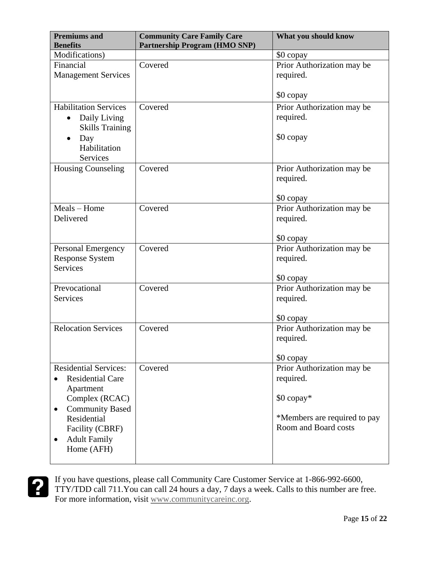| <b>Premiums and</b><br><b>Benefits</b>                                                                                                                                                                            | <b>Community Care Family Care</b><br><b>Partnership Program (HMO SNP)</b> | What you should know                                                                                          |
|-------------------------------------------------------------------------------------------------------------------------------------------------------------------------------------------------------------------|---------------------------------------------------------------------------|---------------------------------------------------------------------------------------------------------------|
| Modifications)                                                                                                                                                                                                    |                                                                           | \$0 copay                                                                                                     |
| Financial<br><b>Management Services</b>                                                                                                                                                                           | Covered                                                                   | Prior Authorization may be<br>required.                                                                       |
|                                                                                                                                                                                                                   |                                                                           | \$0 copay                                                                                                     |
| <b>Habilitation Services</b><br>Daily Living<br>٠<br><b>Skills Training</b><br>Day<br>$\bullet$<br>Habilitation<br>Services                                                                                       | Covered                                                                   | Prior Authorization may be<br>required.<br>\$0 copay                                                          |
| <b>Housing Counseling</b>                                                                                                                                                                                         | Covered                                                                   | Prior Authorization may be<br>required.<br>\$0 copay                                                          |
| Meals - Home<br>Delivered                                                                                                                                                                                         | Covered                                                                   | Prior Authorization may be<br>required.<br>\$0 copay                                                          |
| <b>Personal Emergency</b><br><b>Response System</b><br><b>Services</b>                                                                                                                                            | Covered                                                                   | Prior Authorization may be<br>required.<br>\$0 copay                                                          |
| Prevocational<br><b>Services</b>                                                                                                                                                                                  | Covered                                                                   | Prior Authorization may be<br>required.<br>\$0 copay                                                          |
| <b>Relocation Services</b>                                                                                                                                                                                        | Covered                                                                   | Prior Authorization may be<br>required.<br>\$0 copay                                                          |
| <b>Residential Services:</b><br><b>Residential Care</b><br>Apartment<br>Complex (RCAC)<br><b>Community Based</b><br>$\bullet$<br>Residential<br>Facility (CBRF)<br><b>Adult Family</b><br>$\bullet$<br>Home (AFH) | Covered                                                                   | Prior Authorization may be<br>required.<br>\$0 copay*<br>*Members are required to pay<br>Room and Board costs |

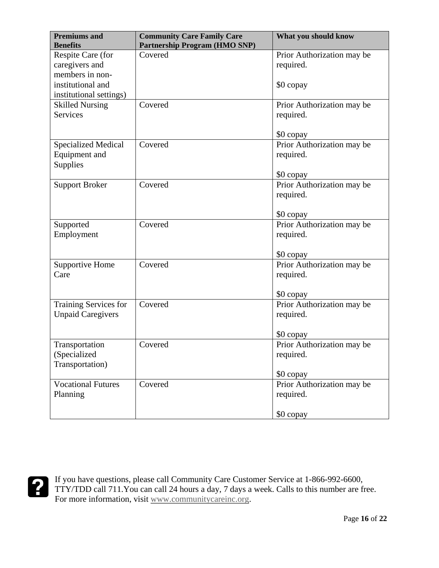| <b>Premiums and</b>        | <b>Community Care Family Care</b>    | What you should know       |
|----------------------------|--------------------------------------|----------------------------|
| <b>Benefits</b>            | <b>Partnership Program (HMO SNP)</b> |                            |
| Respite Care (for          | Covered                              | Prior Authorization may be |
| caregivers and             |                                      | required.                  |
| members in non-            |                                      |                            |
| institutional and          |                                      | \$0 copay                  |
| institutional settings)    |                                      |                            |
| <b>Skilled Nursing</b>     | Covered                              | Prior Authorization may be |
| <b>Services</b>            |                                      | required.                  |
|                            |                                      |                            |
|                            |                                      | \$0 copay                  |
| <b>Specialized Medical</b> | Covered                              | Prior Authorization may be |
| Equipment and              |                                      | required.                  |
| Supplies                   |                                      |                            |
|                            |                                      | \$0 copay                  |
| <b>Support Broker</b>      | Covered                              | Prior Authorization may be |
|                            |                                      | required.                  |
|                            |                                      |                            |
|                            |                                      | \$0 copay                  |
| Supported                  | Covered                              | Prior Authorization may be |
| Employment                 |                                      | required.                  |
|                            |                                      |                            |
|                            |                                      | \$0 copay                  |
| <b>Supportive Home</b>     | Covered                              | Prior Authorization may be |
| Care                       |                                      | required.                  |
|                            |                                      |                            |
|                            |                                      | \$0 copay                  |
| Training Services for      | Covered                              | Prior Authorization may be |
| <b>Unpaid Caregivers</b>   |                                      | required.                  |
|                            |                                      |                            |
|                            |                                      | \$0 copay                  |
| Transportation             | Covered                              | Prior Authorization may be |
| (Specialized               |                                      | required.                  |
| Transportation)            |                                      |                            |
|                            |                                      | \$0 copay                  |
| <b>Vocational Futures</b>  | Covered                              | Prior Authorization may be |
| Planning                   |                                      | required.                  |
|                            |                                      |                            |
|                            |                                      | \$0 copay                  |

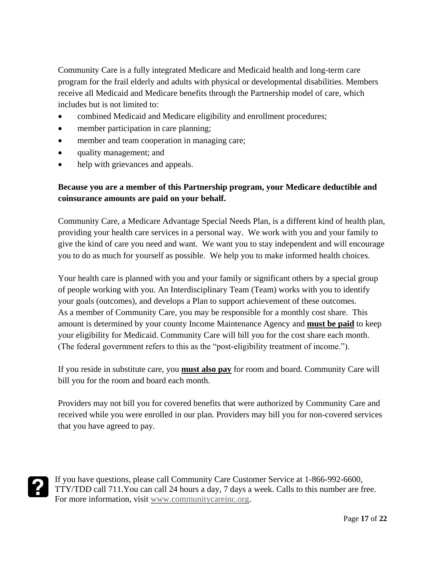Community Care is a fully integrated Medicare and Medicaid health and long-term care program for the frail elderly and adults with physical or developmental disabilities. Members receive all Medicaid and Medicare benefits through the Partnership model of care, which includes but is not limited to:

- combined Medicaid and Medicare eligibility and enrollment procedures;
- member participation in care planning;
- member and team cooperation in managing care;
- quality management; and
- help with grievances and appeals.

#### **Because you are a member of this Partnership program, your Medicare deductible and coinsurance amounts are paid on your behalf.**

Community Care, a Medicare Advantage Special Needs Plan, is a different kind of health plan, providing your health care services in a personal way. We work with you and your family to give the kind of care you need and want. We want you to stay independent and will encourage you to do as much for yourself as possible. We help you to make informed health choices.

Your health care is planned with you and your family or significant others by a special group of people working with you. An Interdisciplinary Team (Team) works with you to identify your goals (outcomes), and develops a Plan to support achievement of these outcomes. As a member of Community Care, you may be responsible for a monthly cost share. This amount is determined by your county Income Maintenance Agency and **must be paid** to keep your eligibility for Medicaid. Community Care will bill you for the cost share each month. (The federal government refers to this as the "post-eligibility treatment of income.").

If you reside in substitute care, you **must also pay** for room and board. Community Care will bill you for the room and board each month.

Providers may not bill you for covered benefits that were authorized by Community Care and received while you were enrolled in our plan. Providers may bill you for non-covered services that you have agreed to pay.

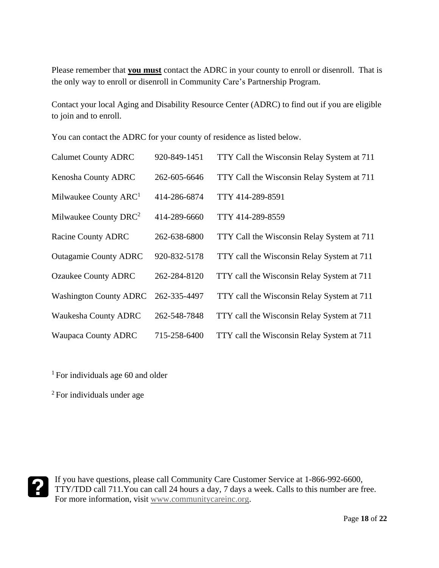Please remember that **you must** contact the ADRC in your county to enroll or disenroll. That is the only way to enroll or disenroll in Community Care's Partnership Program.

Contact your local Aging and Disability Resource Center (ADRC) to find out if you are eligible to join and to enroll.

You can contact the ADRC for your county of residence as listed below.

| <b>Calumet County ADRC</b>        | 920-849-1451 | TTY Call the Wisconsin Relay System at 711 |
|-----------------------------------|--------------|--------------------------------------------|
| Kenosha County ADRC               | 262-605-6646 | TTY Call the Wisconsin Relay System at 711 |
| Milwaukee County ARC <sup>1</sup> | 414-286-6874 | TTY 414-289-8591                           |
| Milwaukee County DRC <sup>2</sup> | 414-289-6660 | TTY 414-289-8559                           |
| <b>Racine County ADRC</b>         | 262-638-6800 | TTY Call the Wisconsin Relay System at 711 |
| <b>Outagamie County ADRC</b>      | 920-832-5178 | TTY call the Wisconsin Relay System at 711 |
| <b>Ozaukee County ADRC</b>        | 262-284-8120 | TTY call the Wisconsin Relay System at 711 |
| <b>Washington County ADRC</b>     | 262-335-4497 | TTY call the Wisconsin Relay System at 711 |
| <b>Waukesha County ADRC</b>       | 262-548-7848 | TTY call the Wisconsin Relay System at 711 |
| <b>Waupaca County ADRC</b>        | 715-258-6400 | TTY call the Wisconsin Relay System at 711 |

<sup>1</sup> For individuals age 60 and older

<sup>2</sup> For individuals under age

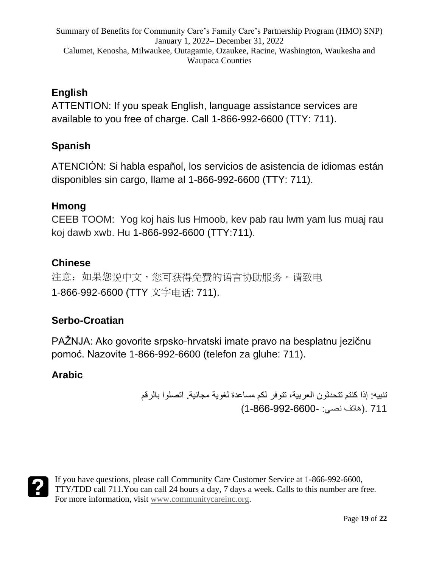### **English**

ATTENTION: If you speak English, language assistance services are available to you free of charge. Call 1-866-992-6600 (TTY: 711).

## **Spanish**

ATENCIÓN: Si habla español, los servicios de asistencia de idiomas están disponibles sin cargo, llame al 1-866-992-6600 (TTY: 711).

#### **Hmong**

CEEB TOOM: Yog koj hais lus Hmoob, kev pab rau lwm yam lus muaj rau koj dawb xwb. Hu 1-866-992-6600 (TTY:711).

#### **Chinese**

注意: 如果您说中文, 您可获得免费的语言协助服务。请致电 1-866-992-6600 (TTY 文字电话: 711).

#### **Serbo-Croatian**

PAŽNJA: Ako govorite srpsko-hrvatski imate pravo na besplatnu jezičnu pomoć. Nazovite 1-866-992-6600 (telefon za gluhe: 711).

#### **Arabic**

تنبيه: إذا كنتم تتحدثون العربية، تتوفر لكم مساعدة لغوية مجانية. اتصلوا بالرقم 711 .)هاتف نصي: 1-866-992-6600-)

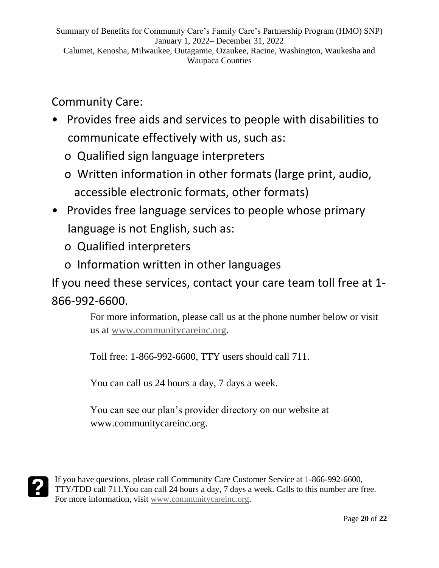# Community Care:

- Provides free aids and services to people with disabilities to communicate effectively with us, such as:
	- o Qualified sign language interpreters
	- o Written information in other formats (large print, audio, accessible electronic formats, other formats)
- Provides free language services to people whose primary language is not English, such as:
	- o Qualified interpreters
	- o Information written in other languages

If you need these services, contact your care team toll free at 1- 866-992-6600.

> For more information, please call us at the phone number below or visit us at [www.communitycareinc.org.](http://www.communitycareinc.org/)

Toll free: 1-866-992-6600, TTY users should call 711.

You can call us 24 hours a day, 7 days a week.

You can see our plan's provider directory on our website at www.communitycareinc.org.

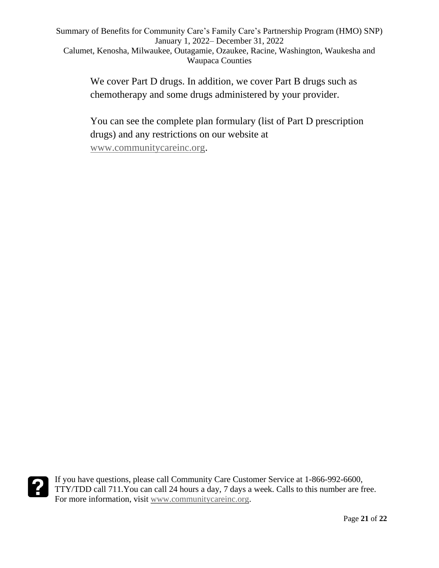> We cover Part D drugs. In addition, we cover Part B drugs such as chemotherapy and some drugs administered by your provider.

You can see the complete plan formulary (list of Part D prescription drugs) and any restrictions on our website at [www.communitycareinc.org.](http://www.communitycareinc.org/)

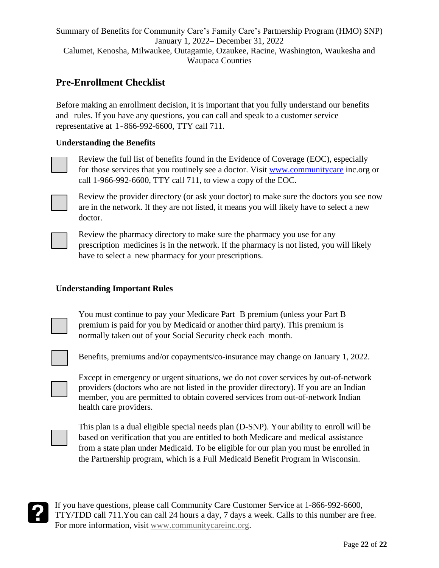#### **Pre-Enrollment Checklist**

Before making an enrollment decision, it is important that you fully understand our benefits and rules. If you have any questions, you can call and speak to a customer service representative at 1-866-992-6600, TTY call 711.

#### **Understanding the Benefits**

Review the full list of benefits found in the Evidence of Coverage (EOC), especially for those services that you routinely see a doctor. Visit [www.communitycare](http://www.communitycare/) inc.org or call 1-966-992-6600, TTY call 711, to view a copy of the EOC.



Review the provider directory (or ask your doctor) to make sure the doctors you see now are in the network. If they are not listed, it means you will likely have to select a new doctor.

Review the pharmacy directory to make sure the pharmacy you use for any prescription medicines is in the network. If the pharmacy is not listed, you will likely have to select a new pharmacy for your prescriptions.

#### **Understanding Important Rules**

You must continue to pay your Medicare Part B premium (unless your Part B premium is paid for you by Medicaid or another third party). This premium is normally taken out of your Social Security check each month.

Benefits, premiums and/or copayments/co-insurance may change on January 1, 2022.

Except in emergency or urgent situations, we do not cover services by out-of-network providers (doctors who are not listed in the provider directory). If you are an Indian member, you are permitted to obtain covered services from out-of-network Indian health care providers.

This plan is a dual eligible special needs plan (D-SNP). Your ability to enroll will be based on verification that you are entitled to both Medicare and medical assistance from a state plan under Medicaid. To be eligible for our plan you must be enrolled in the Partnership program, which is a Full Medicaid Benefit Program in Wisconsin.